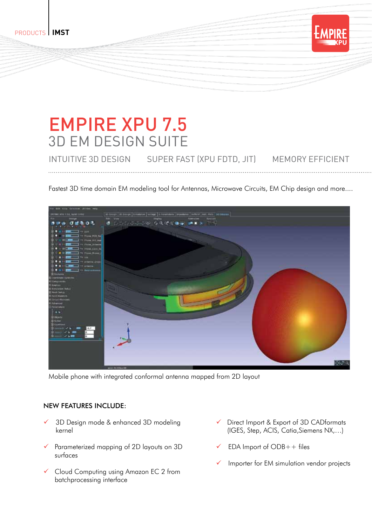products **IMST**

## EMPIRE XPU 7.5 3D EM Design Suite

INTUITIVE 3D DESIGN SUPER FAST (XPU FDTD, JIT) MEMORY EFFICIENT

Fastest 3D time domain EM modeling tool for Antennas, Microwave Circuits, EM Chip design and more....



Mobile phone with integrated conformal antenna mapped from 2D layout

## New features include:

- 3D Design mode & enhanced 3D modeling kernel
- Parameterized mapping of 2D layouts on 3D surfaces
- Cloud Computing using Amazon EC 2 from batchprocessing interface
- Direct Import & Export of 3D CADformats (IGES, Step, ACIS, Catia,Siemens NX,…)

**XPU**

- EDA Import of ODB++ files
- Importer for EM simulation vendor projects